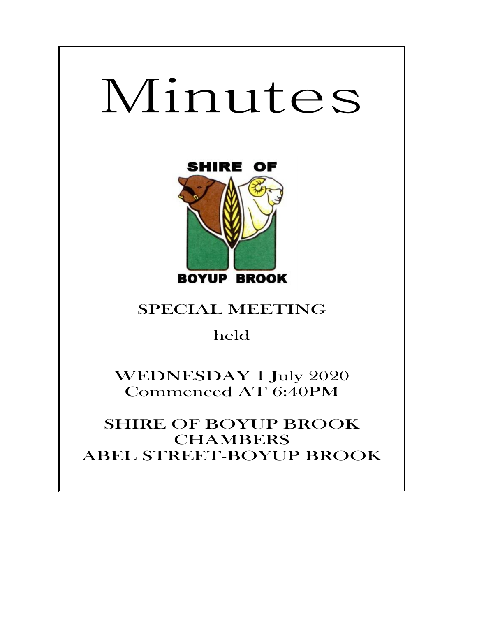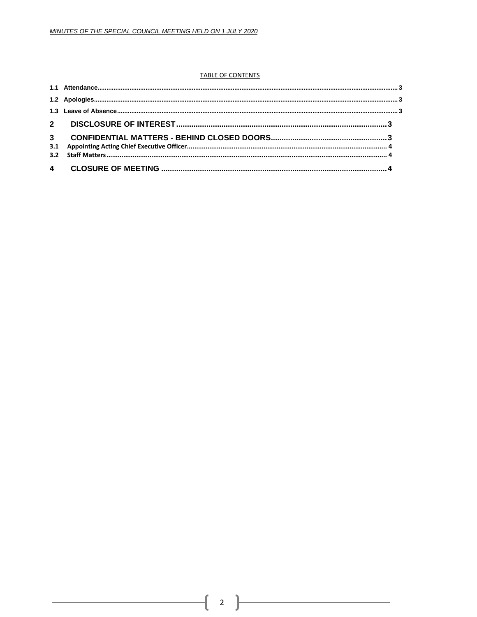## **TABLE OF CONTENTS**

ſ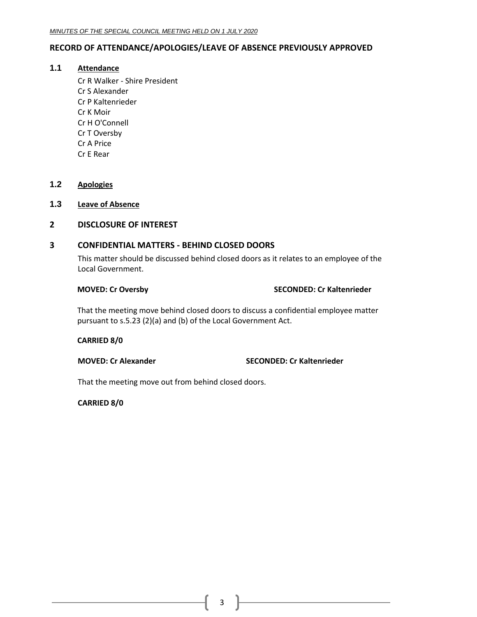# <span id="page-2-0"></span>**RECORD OF ATTENDANCE/APOLOGIES/LEAVE OF ABSENCE PREVIOUSLY APPROVED**

# **1.1 Attendance**

Cr R Walker - Shire President Cr S Alexander Cr P Kaltenrieder Cr K Moir Cr H O'Connell Cr T Oversby Cr A Price Cr E Rear

# <span id="page-2-1"></span>**1.2 Apologies**

<span id="page-2-2"></span>**1.3 Leave of Absence**

# <span id="page-2-3"></span>**2 DISCLOSURE OF INTEREST**

## <span id="page-2-4"></span>**3 CONFIDENTIAL MATTERS - BEHIND CLOSED DOORS**

This matter should be discussed behind closed doors as it relates to an employee of the Local Government.

## **MOVED: Cr Oversby SECONDED: Cr Kaltenrieder**

That the meeting move behind closed doors to discuss a confidential employee matter pursuant to s.5.23 (2)(a) and (b) of the Local Government Act.

## **CARRIED 8/0**

**MOVED: Cr Alexander SECONDED: Cr Kaltenrieder**

That the meeting move out from behind closed doors.

# **CARRIED 8/0**